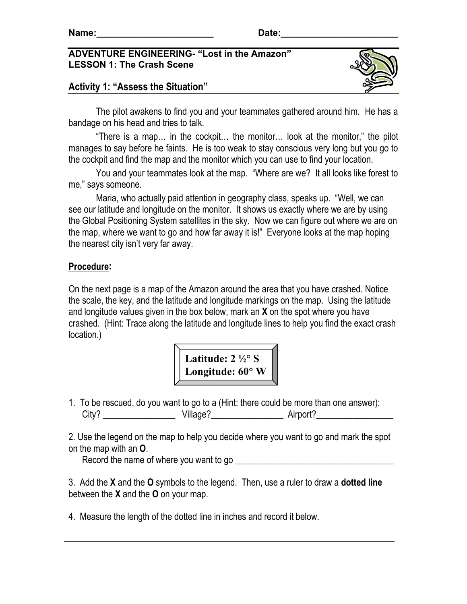### **ADVENTURE ENGINEERING- "Lost in the Amazon" LESSON 1: The Crash Scene**





The pilot awakens to find you and your teammates gathered around him. He has a bandage on his head and tries to talk.

 "There is a map… in the cockpit… the monitor… look at the monitor," the pilot manages to say before he faints. He is too weak to stay conscious very long but you go to the cockpit and find the map and the monitor which you can use to find your location.

 You and your teammates look at the map. "Where are we? It all looks like forest to me," says someone.

Maria, who actually paid attention in geography class, speaks up. "Well, we can see our latitude and longitude on the monitor. It shows us exactly where we are by using the Global Positioning System satellites in the sky. Now we can figure out where we are on the map, where we want to go and how far away it is!" Everyone looks at the map hoping the nearest city isn't very far away.

### **Procedure:**

On the next page is a map of the Amazon around the area that you have crashed. Notice the scale, the key, and the latitude and longitude markings on the map. Using the latitude and longitude values given in the box below, mark an **X** on the spot where you have crashed. (Hint: Trace along the latitude and longitude lines to help you find the exact crash location.)



1. To be rescued, do you want to go to a (Hint: there could be more than one answer): City? \_\_\_\_\_\_\_\_\_\_\_\_\_\_\_\_ Village?\_\_\_\_\_\_\_\_\_\_\_\_\_\_\_\_ Airport?\_\_\_\_\_\_\_\_\_\_\_\_\_\_\_\_\_

2. Use the legend on the map to help you decide where you want to go and mark the spot on the map with an **O**.

Record the name of where you want to go \_\_\_\_\_\_\_\_\_\_\_\_\_\_\_\_\_\_\_\_\_\_\_\_\_\_\_\_\_\_\_\_\_\_\_

3. Add the **X** and the **O** symbols to the legend. Then, use a ruler to draw a **dotted line** between the **X** and the **O** on your map.

4. Measure the length of the dotted line in inches and record it below.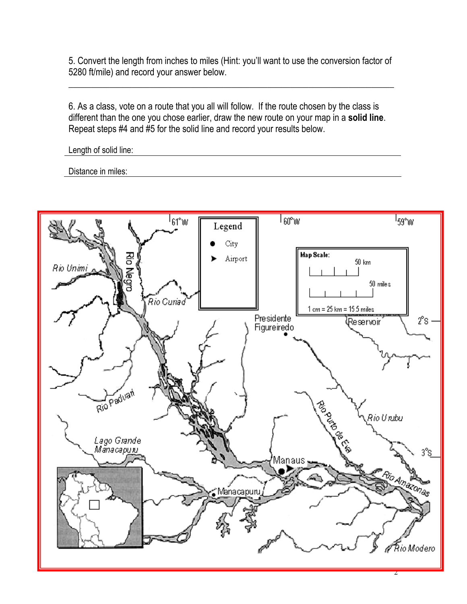5. Convert the length from inches to miles (Hint: you'll want to use the conversion factor of 5280 ft/mile) and record your answer below.

\_\_\_\_\_\_\_\_\_\_\_\_\_\_\_\_\_\_\_\_\_\_\_\_\_\_\_\_\_\_\_\_\_\_\_\_\_\_\_\_\_\_\_\_\_\_\_\_\_\_\_\_\_\_\_\_\_\_\_\_\_\_\_\_\_\_\_\_\_\_\_\_

6. As a class, vote on a route that you all will follow. If the route chosen by the class is different than the one you chose earlier, draw the new route on your map in a **solid line**. Repeat steps #4 and #5 for the solid line and record your results below.

Length of solid line:

Distance in miles:

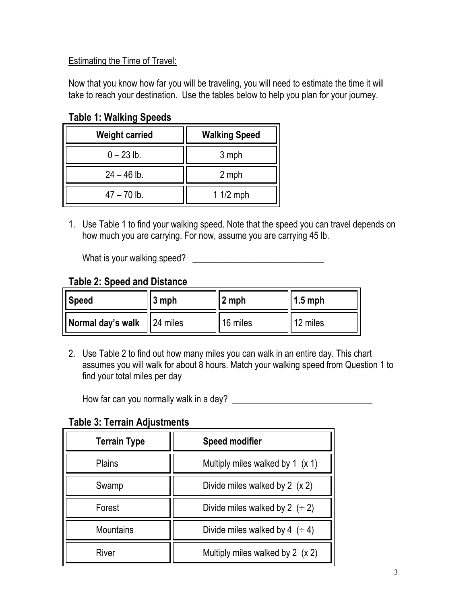# Estimating the Time of Travel:

Now that you know how far you will be traveling, you will need to estimate the time it will take to reach your destination. Use the tables below to help you plan for your journey.

**Table 1: Walking Speeds**

| <b>Weight carried</b> | <b>Walking Speed</b> |
|-----------------------|----------------------|
| $0 - 23$ lb.          | 3 mph                |
| $24 - 46$ lb.         | 2 mph                |
| $47 - 70$ lb.         | $11/2$ mph           |

1. Use Table 1 to find your walking speed. Note that the speed you can travel depends on how much you are carrying. For now, assume you are carrying 45 lb.

What is your walking speed? \_\_\_\_\_\_\_\_\_\_\_\_\_\_\_\_\_\_\_\_\_\_\_\_\_\_\_\_\_

# **Table 2: Speed and Distance**

| <b>Speed</b>                 | $3$ mph | 2 mph    | $1.5$ mph |
|------------------------------|---------|----------|-----------|
| Normal day's walk   24 miles |         | 16 miles | 12 miles  |

2. Use Table 2 to find out how many miles you can walk in an entire day. This chart assumes you will walk for about 8 hours. Match your walking speed from Question 1 to find your total miles per day

How far can you normally walk in a day?

**Table 3: Terrain Adjustments**

| <b>Terrain Type</b> | <b>Speed modifier</b>                  |
|---------------------|----------------------------------------|
| <b>Plains</b>       | Multiply miles walked by 1 $(x 1)$     |
| Swamp               | Divide miles walked by $2(x 2)$        |
| Forest              | Divide miles walked by 2 $(2, 2)$      |
| <b>Mountains</b>    | Divide miles walked by 4 $($ $\div$ 4) |
| River               | Multiply miles walked by 2 (x 2)       |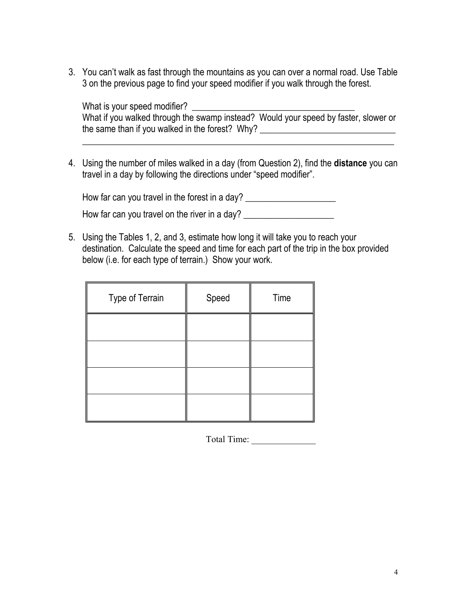3. You can't walk as fast through the mountains as you can over a normal road. Use Table 3 on the previous page to find your speed modifier if you walk through the forest.

What is your speed modifier? What if you walked through the swamp instead? Would your speed by faster, slower or the same than if you walked in the forest? Why? \_\_\_\_\_\_\_\_\_\_\_\_\_\_\_\_\_\_\_\_\_\_\_\_\_\_\_\_\_\_\_\_

\_\_\_\_\_\_\_\_\_\_\_\_\_\_\_\_\_\_\_\_\_\_\_\_\_\_\_\_\_\_\_\_\_\_\_\_\_\_\_\_\_\_\_\_\_\_\_\_\_\_\_\_\_\_\_\_\_\_\_\_\_\_\_\_\_\_\_\_\_

4. Using the number of miles walked in a day (from Question 2), find the **distance** you can travel in a day by following the directions under "speed modifier".

How far can you travel in the forest in a day? \_\_\_\_\_\_\_\_\_\_\_\_\_\_\_\_\_\_\_\_\_\_\_\_\_\_\_\_\_\_\_\_\_

How far can you travel on the river in a day? \_\_\_\_\_\_\_\_\_\_\_\_\_\_\_\_\_\_\_\_\_\_\_\_\_\_\_\_\_\_\_\_\_\_

5. Using the Tables 1, 2, and 3, estimate how long it will take you to reach your destination. Calculate the speed and time for each part of the trip in the box provided below (i.e. for each type of terrain.) Show your work.

| Type of Terrain | Speed | Time |
|-----------------|-------|------|
|                 |       |      |
|                 |       |      |
|                 |       |      |
|                 |       |      |

Total Time: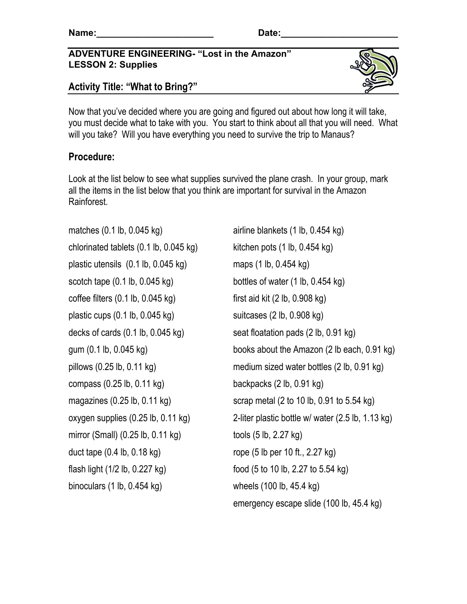### **ADVENTURE ENGINEERING- "Lost in the Amazon" LESSON 2: Supplies**





Now that you've decided where you are going and figured out about how long it will take, you must decide what to take with you. You start to think about all that you will need. What will you take? Will you have everything you need to survive the trip to Manaus?

# **Procedure:**

Look at the list below to see what supplies survived the plane crash. In your group, mark all the items in the list below that you think are important for survival in the Amazon Rainforest.

matches  $(0.1 \text{ lb}, 0.045 \text{ kg})$  airline blankets  $(1 \text{ lb}, 0.454 \text{ kg})$ chlorinated tablets  $(0.1 \text{ lb}, 0.045 \text{ kg})$  kitchen pots  $(1 \text{ lb}, 0.454 \text{ kg})$ plastic utensils (0.1 lb, 0.045 kg) maps (1 lb, 0.454 kg) scotch tape  $(0.1 \text{ lb}, 0.045 \text{ kg})$  bottles of water  $(1 \text{ lb}, 0.454 \text{ kg})$ coffee filters  $(0.1 \text{ lb}, 0.045 \text{ kg})$  first aid kit  $(2 \text{ lb}, 0.908 \text{ kg})$ plastic cups  $(0.1 \text{ lb}, 0.045 \text{ kg})$  suitcases  $(2 \text{ lb}, 0.908 \text{ kg})$ decks of cards (0.1 lb, 0.045 kg) seat floatation pads (2 lb, 0.91 kg) compass (0.25 lb, 0.11 kg) backpacks (2 lb, 0.91 kg) mirror (Small)  $(0.25 \text{ lb}, 0.11 \text{ kg})$  tools  $(5 \text{ lb}, 2.27 \text{ kg})$ duct tape  $(0.4 \text{ lb}, 0.18 \text{ kg})$  rope  $(5 \text{ lb per 10 ft.}, 2.27 \text{ kg})$ flash light (1/2 lb, 0.227 kg) food (5 to 10 lb, 2.27 to 5.54 kg) binoculars (1 lb, 0.454 kg) wheels (100 lb, 45.4 kg)

gum (0.1 lb, 0.045 kg) books about the Amazon (2 lb each, 0.91 kg) pillows (0.25 lb, 0.11 kg) medium sized water bottles (2 lb, 0.91 kg) magazines (0.25 lb, 0.11 kg) scrap metal (2 to 10 lb, 0.91 to 5.54 kg) oxygen supplies (0.25 lb, 0.11 kg) 2-liter plastic bottle w/ water (2.5 lb, 1.13 kg) emergency escape slide (100 lb, 45.4 kg)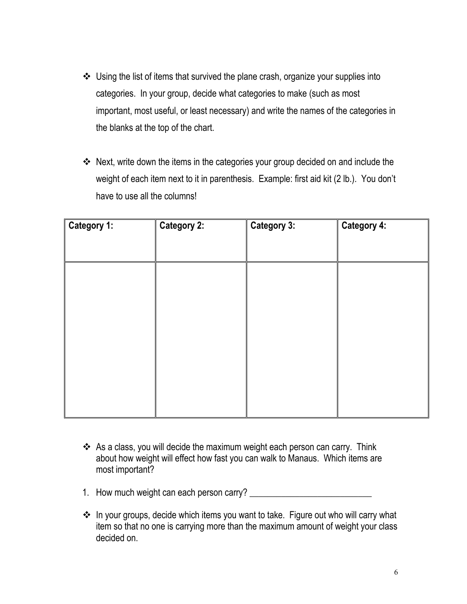- Using the list of items that survived the plane crash, organize your supplies into categories. In your group, decide what categories to make (such as most important, most useful, or least necessary) and write the names of the categories in the blanks at the top of the chart.
- \* Next, write down the items in the categories your group decided on and include the weight of each item next to it in parenthesis. Example: first aid kit (2 lb.). You don't have to use all the columns!

| Category 1: | <b>Category 2:</b> | <b>Category 3:</b> | <b>Category 4:</b> |
|-------------|--------------------|--------------------|--------------------|
|             |                    |                    |                    |
|             |                    |                    |                    |
|             |                    |                    |                    |
|             |                    |                    |                    |
|             |                    |                    |                    |

- \* As a class, you will decide the maximum weight each person can carry. Think about how weight will effect how fast you can walk to Manaus. Which items are most important?
- 1. How much weight can each person carry? \_\_\_\_\_\_\_\_\_\_\_\_\_\_\_\_\_\_\_\_\_\_\_\_\_\_\_
- In your groups, decide which items you want to take. Figure out who will carry what item so that no one is carrying more than the maximum amount of weight your class decided on.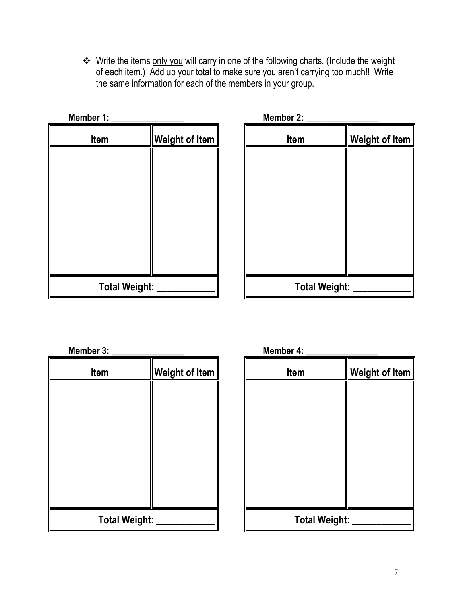**\*** Write the items only you will carry in one of the following charts. (Include the weight of each item.) Add up your total to make sure you aren't carrying too much!! Write the same information for each of the members in your group.

| Member 1:            |                | Member 2:            |                       |
|----------------------|----------------|----------------------|-----------------------|
| Item                 | Weight of Item | Item                 | <b>Weight of Item</b> |
|                      |                |                      |                       |
|                      |                |                      |                       |
|                      |                |                      |                       |
|                      |                |                      |                       |
|                      |                |                      |                       |
|                      |                |                      |                       |
| <b>Total Weight:</b> |                | <b>Total Weight:</b> |                       |
|                      |                |                      |                       |

| EI 1.                |                | <b>INIGITIDEL 2.</b> |                |
|----------------------|----------------|----------------------|----------------|
| Item                 | Weight of Item | Item                 | Weight of Item |
|                      |                |                      |                |
|                      |                |                      |                |
|                      |                |                      |                |
|                      |                |                      |                |
|                      |                |                      |                |
|                      |                |                      |                |
|                      |                |                      |                |
| <b>Total Weight:</b> |                | <b>Total Weight:</b> |                |

**Member 3: \_\_\_\_\_\_\_\_\_\_\_\_\_\_\_\_ Member 4: \_\_\_\_\_\_\_\_\_\_\_\_\_\_\_\_** 

| Item                 | <b>Weight of Item</b> | Item                 | <b>Weight of Item</b> |
|----------------------|-----------------------|----------------------|-----------------------|
|                      |                       |                      |                       |
|                      |                       |                      |                       |
|                      |                       |                      |                       |
|                      |                       |                      |                       |
|                      |                       |                      |                       |
|                      |                       |                      |                       |
| <b>Total Weight:</b> |                       | <b>Total Weight:</b> |                       |

| Member 4: |  |
|-----------|--|
|           |  |

| Item                 | <b>Weight of Item</b> | Item                 | <b>Weight of Item</b> |
|----------------------|-----------------------|----------------------|-----------------------|
|                      |                       |                      |                       |
|                      |                       |                      |                       |
|                      |                       |                      |                       |
|                      |                       |                      |                       |
|                      |                       |                      |                       |
|                      |                       |                      |                       |
| <b>Total Weight:</b> |                       | <b>Total Weight:</b> |                       |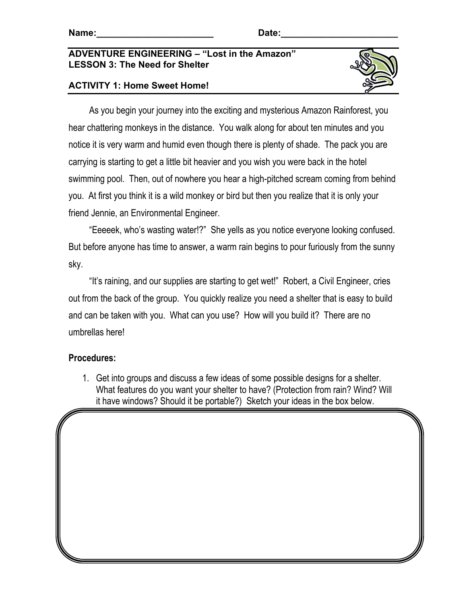#### **ADVENTURE ENGINEERING – "Lost in the Amazon" LESSON 3: The Need for Shelter**

### **ACTIVITY 1: Home Sweet Home!**



 As you begin your journey into the exciting and mysterious Amazon Rainforest, you hear chattering monkeys in the distance. You walk along for about ten minutes and you notice it is very warm and humid even though there is plenty of shade. The pack you are carrying is starting to get a little bit heavier and you wish you were back in the hotel swimming pool. Then, out of nowhere you hear a high-pitched scream coming from behind you. At first you think it is a wild monkey or bird but then you realize that it is only your friend Jennie, an Environmental Engineer.

 "Eeeeek, who's wasting water!?" She yells as you notice everyone looking confused. But before anyone has time to answer, a warm rain begins to pour furiously from the sunny sky.

 "It's raining, and our supplies are starting to get wet!" Robert, a Civil Engineer, cries out from the back of the group. You quickly realize you need a shelter that is easy to build and can be taken with you. What can you use? How will you build it? There are no umbrellas here!

#### **Procedures:**

1. Get into groups and discuss a few ideas of some possible designs for a shelter. What features do you want your shelter to have? (Protection from rain? Wind? Will it have windows? Should it be portable?) Sketch your ideas in the box below.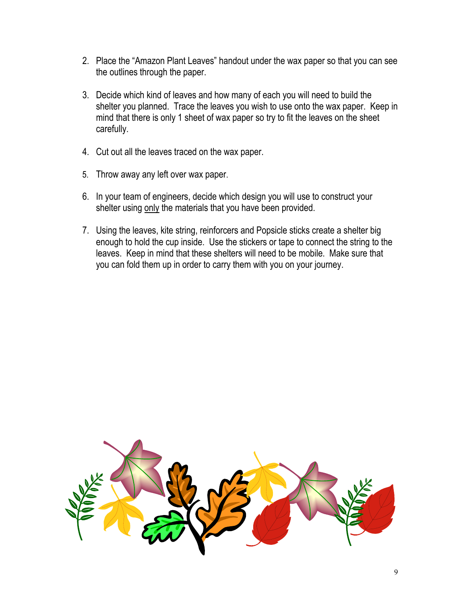- 2. Place the "Amazon Plant Leaves" handout under the wax paper so that you can see the outlines through the paper.
- 3. Decide which kind of leaves and how many of each you will need to build the shelter you planned. Trace the leaves you wish to use onto the wax paper. Keep in mind that there is only 1 sheet of wax paper so try to fit the leaves on the sheet carefully.
- 4. Cut out all the leaves traced on the wax paper.
- 5. Throw away any left over wax paper.
- 6. In your team of engineers, decide which design you will use to construct your shelter using only the materials that you have been provided.
- 7. Using the leaves, kite string, reinforcers and Popsicle sticks create a shelter big enough to hold the cup inside. Use the stickers or tape to connect the string to the leaves. Keep in mind that these shelters will need to be mobile. Make sure that you can fold them up in order to carry them with you on your journey.

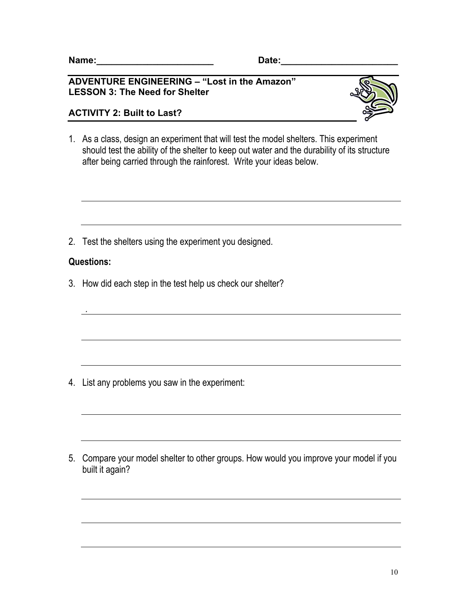#### **ADVENTURE ENGINEERING – "Lost in the Amazon" LESSON 3: The Need for Shelter**

### **ACTIVITY 2: Built to Last?**



1. As a class, design an experiment that will test the model shelters. This experiment should test the ability of the shelter to keep out water and the durability of its structure after being carried through the rainforest. Write your ideas below.

2. Test the shelters using the experiment you designed.

### **Questions:**

*.* 

3. How did each step in the test help us check our shelter?

4. List any problems you saw in the experiment:

5. Compare your model shelter to other groups. How would you improve your model if you built it again?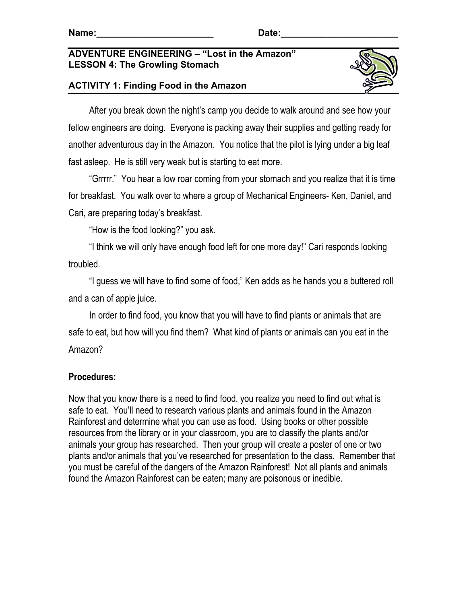### **ADVENTURE ENGINEERING – "Lost in the Amazon" LESSON 4: The Growling Stomach**





 After you break down the night's camp you decide to walk around and see how your fellow engineers are doing. Everyone is packing away their supplies and getting ready for another adventurous day in the Amazon. You notice that the pilot is lying under a big leaf fast asleep. He is still very weak but is starting to eat more.

 "Grrrrr." You hear a low roar coming from your stomach and you realize that it is time for breakfast. You walk over to where a group of Mechanical Engineers- Ken, Daniel, and Cari, are preparing today's breakfast.

"How is the food looking?" you ask.

 "I think we will only have enough food left for one more day!" Cari responds looking troubled.

 "I guess we will have to find some of food," Ken adds as he hands you a buttered roll and a can of apple juice.

 In order to find food, you know that you will have to find plants or animals that are safe to eat, but how will you find them? What kind of plants or animals can you eat in the Amazon?

# **Procedures:**

Now that you know there is a need to find food, you realize you need to find out what is safe to eat. You'll need to research various plants and animals found in the Amazon Rainforest and determine what you can use as food. Using books or other possible resources from the library or in your classroom, you are to classify the plants and/or animals your group has researched. Then your group will create a poster of one or two plants and/or animals that you've researched for presentation to the class. Remember that you must be careful of the dangers of the Amazon Rainforest! Not all plants and animals found the Amazon Rainforest can be eaten; many are poisonous or inedible.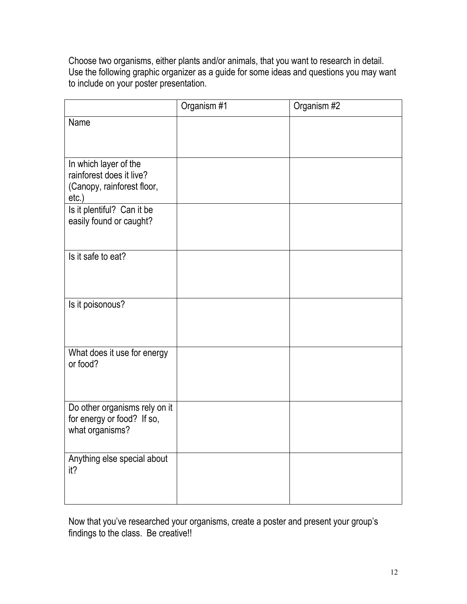Choose two organisms, either plants and/or animals, that you want to research in detail. Use the following graphic organizer as a guide for some ideas and questions you may want to include on your poster presentation.

|                                                                                             | Organism #1 | Organism #2 |
|---------------------------------------------------------------------------------------------|-------------|-------------|
| Name                                                                                        |             |             |
| In which layer of the<br>rainforest does it live?<br>(Canopy, rainforest floor,<br>$etc.$ ) |             |             |
| Is it plentiful? Can it be<br>easily found or caught?                                       |             |             |
| Is it safe to eat?                                                                          |             |             |
| Is it poisonous?                                                                            |             |             |
| What does it use for energy<br>or food?                                                     |             |             |
| Do other organisms rely on it<br>for energy or food? If so,<br>what organisms?              |             |             |
| Anything else special about<br>it?                                                          |             |             |

Now that you've researched your organisms, create a poster and present your group's findings to the class. Be creative!!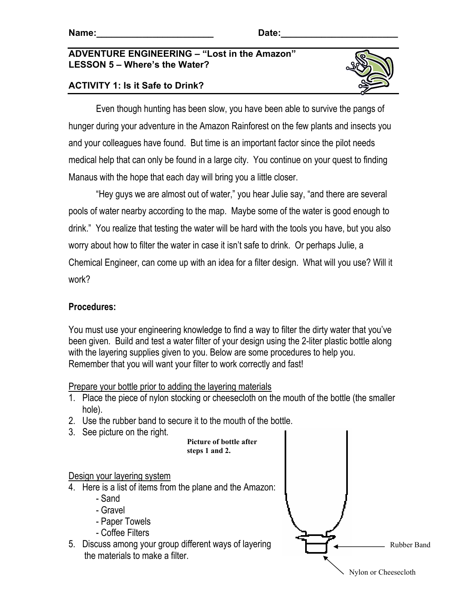#### **ADVENTURE ENGINEERING – "Lost in the Amazon" LESSON 5 – Where's the Water?**

# **ACTIVITY 1: Is it Safe to Drink?**



Even though hunting has been slow, you have been able to survive the pangs of hunger during your adventure in the Amazon Rainforest on the few plants and insects you and your colleagues have found. But time is an important factor since the pilot needs medical help that can only be found in a large city. You continue on your quest to finding Manaus with the hope that each day will bring you a little closer.

"Hey guys we are almost out of water," you hear Julie say, "and there are several pools of water nearby according to the map. Maybe some of the water is good enough to drink." You realize that testing the water will be hard with the tools you have, but you also worry about how to filter the water in case it isn't safe to drink. Or perhaps Julie, a Chemical Engineer, can come up with an idea for a filter design. What will you use? Will it work?

# **Procedures:**

You must use your engineering knowledge to find a way to filter the dirty water that you've been given. Build and test a water filter of your design using the 2-liter plastic bottle along with the layering supplies given to you. Below are some procedures to help you. Remember that you will want your filter to work correctly and fast!

Prepare your bottle prior to adding the layering materials

- 1. Place the piece of nylon stocking or cheesecloth on the mouth of the bottle (the smaller hole).
- 2. Use the rubber band to secure it to the mouth of the bottle.
- 3. See picture on the right.

**Picture of bottle after steps 1 and 2.**

Design your layering system

- 4. Here is a list of items from the plane and the Amazon:
	- Sand
	- Gravel
	- Paper Towels
	- Coffee Filters
- 5. Discuss among your group different ways of layering the materials to make a filter.

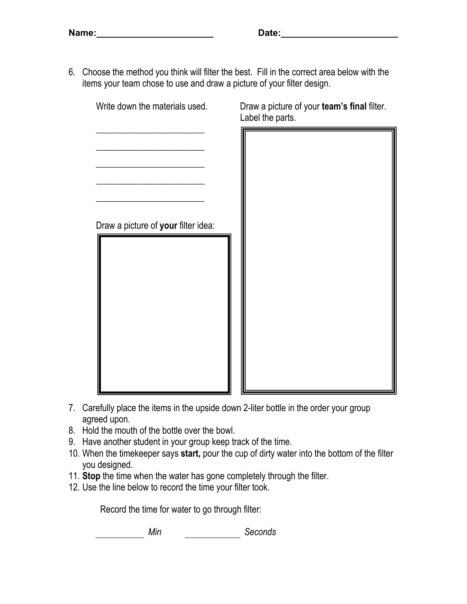6. Choose the method you think will filter the best. Fill in the correct area below with the items your team chose to use and draw a picture of your filter design.



- 7. Carefully place the items in the upside down 2-liter bottle in the order your group agreed upon.
- 8. Hold the mouth of the bottle over the bowl.
- 9. Have another student in your group keep track of the time.
- 10. When the timekeeper says **start,** pour the cup of dirty water into the bottom of the filter you designed.
- 11. **Stop** the time when the water has gone completely through the filter.
- 12. Use the line below to record the time your filter took.

Record the time for water to go through filter:

*Min Seconds*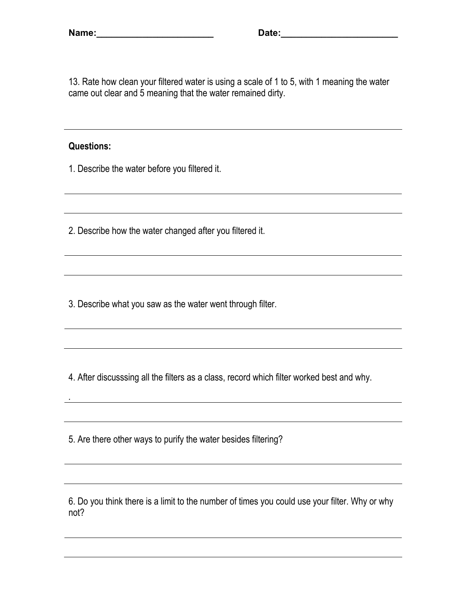13. Rate how clean your filtered water is using a scale of 1 to 5, with 1 meaning the water came out clear and 5 meaning that the water remained dirty.

#### **Questions:**

*.* 

1. Describe the water before you filtered it.

2. Describe how the water changed after you filtered it.

3. Describe what you saw as the water went through filter.

4. After discusssing all the filters as a class, record which filter worked best and why.

5. Are there other ways to purify the water besides filtering?

6. Do you think there is a limit to the number of times you could use your filter. Why or why not?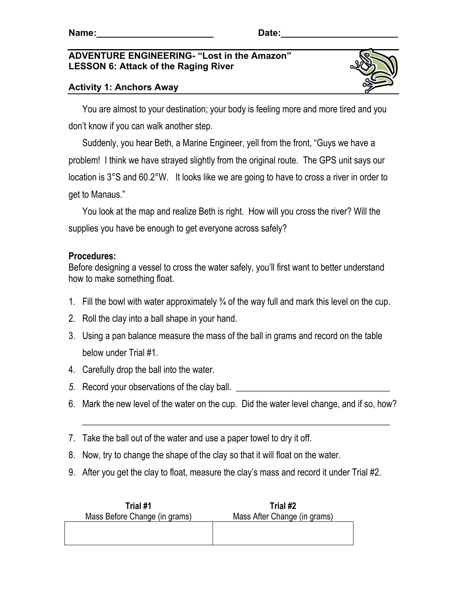### **ADVENTURE ENGINEERING- "Lost in the Amazon" LESSON 6: Attack of the Raging River**



# **Activity 1: Anchors Away**

 You are almost to your destination; your body is feeling more and more tired and you don't know if you can walk another step.

 Suddenly, you hear Beth, a Marine Engineer, yell from the front, "Guys we have a problem! I think we have strayed slightly from the original route. The GPS unit says our location is 3°S and 60.2°W. It looks like we are going to have to cross a river in order to get to Manaus."

 You look at the map and realize Beth is right. How will you cross the river? Will the supplies you have be enough to get everyone across safely?

## **Procedures:**

Before designing a vessel to cross the water safely, you'll first want to better understand how to make something float.

- 1. Fill the bowl with water approximately  $\frac{3}{4}$  of the way full and mark this level on the cup.
- 2. Roll the clay into a ball shape in your hand.
- 3. Using a pan balance measure the mass of the ball in grams and record on the table below under Trial #1.
- 4. Carefully drop the ball into the water.
- *5.* Record your observations of the clay ball.
- 6. Mark the new level of the water on the cup. Did the water level change, and if so, how?

\_\_\_\_\_\_\_\_\_\_\_\_\_\_\_\_\_\_\_\_\_\_\_\_\_\_\_\_\_\_\_\_\_\_\_\_\_\_\_\_\_\_\_\_\_\_\_\_\_\_\_\_\_\_\_\_\_\_\_\_\_\_\_\_\_\_\_\_

- 7. Take the ball out of the water and use a paper towel to dry it off.
- 8. Now, try to change the shape of the clay so that it will float on the water.
- 9. After you get the clay to float, measure the clay's mass and record it under Trial #2.

| Trial #1                      | Trial #2                     |
|-------------------------------|------------------------------|
| Mass Before Change (in grams) | Mass After Change (in grams) |
|                               |                              |
|                               |                              |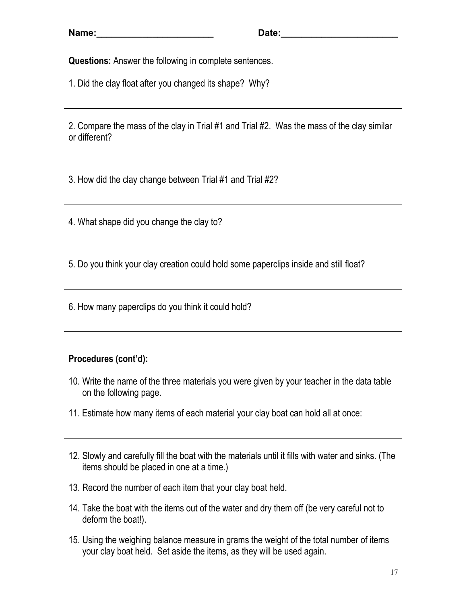**Questions:** Answer the following in complete sentences.

1. Did the clay float after you changed its shape? Why?

2. Compare the mass of the clay in Trial #1 and Trial #2. Was the mass of the clay similar or different?

3. How did the clay change between Trial #1 and Trial #2?

4. What shape did you change the clay to?

5. Do you think your clay creation could hold some paperclips inside and still float?

6. How many paperclips do you think it could hold?

# **Procedures (cont'd):**

- 10. Write the name of the three materials you were given by your teacher in the data table on the following page.
- 11. Estimate how many items of each material your clay boat can hold all at once:
- 12. Slowly and carefully fill the boat with the materials until it fills with water and sinks. (The items should be placed in one at a time.)
- 13. Record the number of each item that your clay boat held.
- 14. Take the boat with the items out of the water and dry them off (be very careful not to deform the boat!).
- 15. Using the weighing balance measure in grams the weight of the total number of items your clay boat held. Set aside the items, as they will be used again.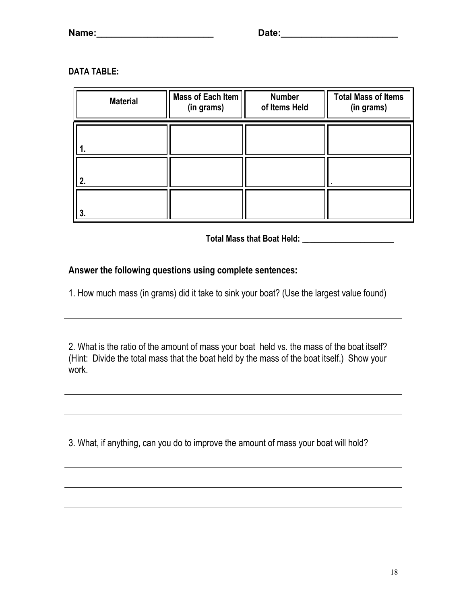### **DATA TABLE:**

| <b>Material</b> | Mass of Each Item<br>(in grams) | <b>Number</b><br>of Items Held | <b>Total Mass of Items</b><br>(in grams) |
|-----------------|---------------------------------|--------------------------------|------------------------------------------|
|                 |                                 |                                |                                          |
| 2.              |                                 |                                |                                          |
| 3.              |                                 |                                |                                          |

**Total Mass that Boat Held: \_ \_\_\_\_\_\_\_\_\_\_\_\_\_\_\_\_\_\_\_\_**

## **Answer the following questions using complete sentences:**

1. How much mass (in grams) did it take to sink your boat? (Use the largest value found)

2. What is the ratio of the amount of mass your boat held vs. the mass of the boat itself? (Hint: Divide the total mass that the boat held by the mass of the boat itself.) Show your work.

3. What, if anything, can you do to improve the amount of mass your boat will hold?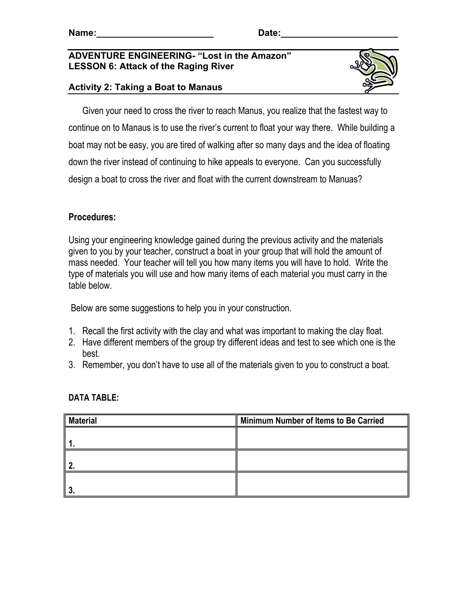#### **ADVENTURE ENGINEERING- "Lost in the Amazon" LESSON 6: Attack of the Raging River**



### **Activity 2: Taking a Boat to Manaus**

 Given your need to cross the river to reach Manus, you realize that the fastest way to continue on to Manaus is to use the river's current to float your way there. While building a boat may not be easy, you are tired of walking after so many days and the idea of floating down the river instead of continuing to hike appeals to everyone. Can you successfully design a boat to cross the river and float with the current downstream to Manuas?

## **Procedures:**

Using your engineering knowledge gained during the previous activity and the materials given to you by your teacher, construct a boat in your group that will hold the amount of mass needed. Your teacher will tell you how many items you will have to hold. Write the type of materials you will use and how many items of each material you must carry in the table below.

Below are some suggestions to help you in your construction.

- 1. Recall the first activity with the clay and what was important to making the clay float.
- 2. Have different members of the group try different ideas and test to see which one is the best.
- 3. Remember, you don't have to use all of the materials given to you to construct a boat.

| <b>Material</b> | Minimum Number of Items to Be Carried |  |
|-----------------|---------------------------------------|--|
|                 |                                       |  |
|                 |                                       |  |
| n               |                                       |  |
|                 |                                       |  |
|                 |                                       |  |

### **DATA TABLE:**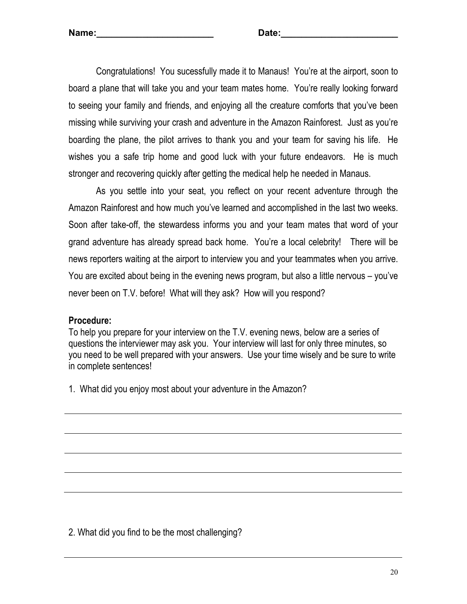Congratulations! You sucessfully made it to Manaus! You're at the airport, soon to board a plane that will take you and your team mates home. You're really looking forward to seeing your family and friends, and enjoying all the creature comforts that you've been missing while surviving your crash and adventure in the Amazon Rainforest. Just as you're boarding the plane, the pilot arrives to thank you and your team for saving his life. He wishes you a safe trip home and good luck with your future endeavors. He is much stronger and recovering quickly after getting the medical help he needed in Manaus.

 As you settle into your seat, you reflect on your recent adventure through the Amazon Rainforest and how much you've learned and accomplished in the last two weeks. Soon after take-off, the stewardess informs you and your team mates that word of your grand adventure has already spread back home. You're a local celebrity! There will be news reporters waiting at the airport to interview you and your teammates when you arrive. You are excited about being in the evening news program, but also a little nervous – you've never been on T.V. before! What will they ask? How will you respond?

### **Procedure:**

To help you prepare for your interview on the T.V. evening news, below are a series of questions the interviewer may ask you. Your interview will last for only three minutes, so you need to be well prepared with your answers. Use your time wisely and be sure to write in complete sentences!

1. What did you enjoy most about your adventure in the Amazon?

2. What did you find to be the most challenging?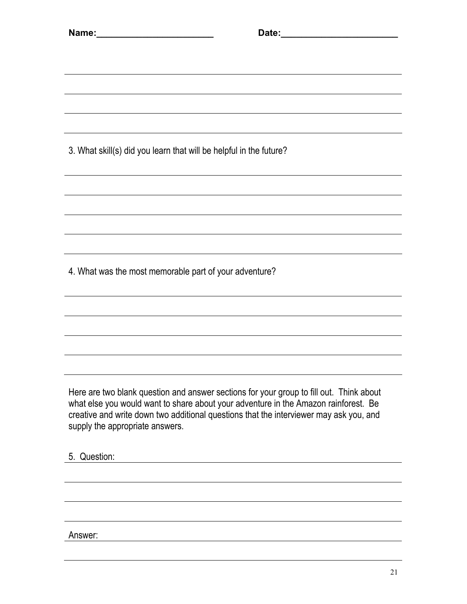|                                                                    | and the control of the control of the control of the control of the control of the control of the control of the                                                                                                                                                         |  |
|--------------------------------------------------------------------|--------------------------------------------------------------------------------------------------------------------------------------------------------------------------------------------------------------------------------------------------------------------------|--|
| 3. What skill(s) did you learn that will be helpful in the future? |                                                                                                                                                                                                                                                                          |  |
|                                                                    |                                                                                                                                                                                                                                                                          |  |
|                                                                    |                                                                                                                                                                                                                                                                          |  |
|                                                                    |                                                                                                                                                                                                                                                                          |  |
|                                                                    |                                                                                                                                                                                                                                                                          |  |
| 4. What was the most memorable part of your adventure?             |                                                                                                                                                                                                                                                                          |  |
|                                                                    |                                                                                                                                                                                                                                                                          |  |
|                                                                    |                                                                                                                                                                                                                                                                          |  |
|                                                                    |                                                                                                                                                                                                                                                                          |  |
|                                                                    |                                                                                                                                                                                                                                                                          |  |
| supply the appropriate answers.                                    | Here are two blank question and answer sections for your group to fill out. Think about<br>what else you would want to share about your adventure in the Amazon rainforest. Be<br>creative and write down two additional questions that the interviewer may ask you, and |  |
| 5. Question:                                                       |                                                                                                                                                                                                                                                                          |  |
|                                                                    |                                                                                                                                                                                                                                                                          |  |
|                                                                    |                                                                                                                                                                                                                                                                          |  |
|                                                                    |                                                                                                                                                                                                                                                                          |  |

Answer: